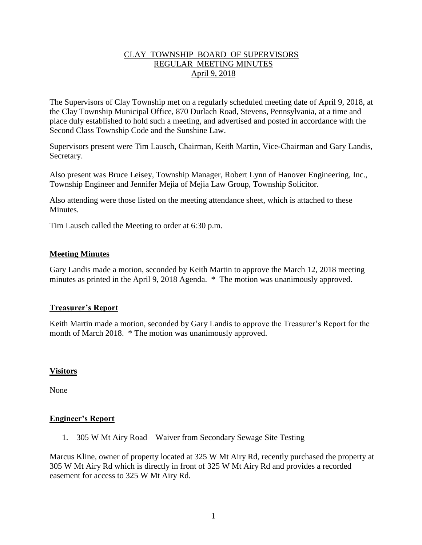# CLAY TOWNSHIP BOARD OF SUPERVISORS REGULAR MEETING MINUTES April 9, 2018

The Supervisors of Clay Township met on a regularly scheduled meeting date of April 9, 2018, at the Clay Township Municipal Office, 870 Durlach Road, Stevens, Pennsylvania, at a time and place duly established to hold such a meeting, and advertised and posted in accordance with the Second Class Township Code and the Sunshine Law.

Supervisors present were Tim Lausch, Chairman, Keith Martin, Vice-Chairman and Gary Landis, Secretary.

Also present was Bruce Leisey, Township Manager, Robert Lynn of Hanover Engineering, Inc., Township Engineer and Jennifer Mejia of Mejia Law Group, Township Solicitor.

Also attending were those listed on the meeting attendance sheet, which is attached to these **Minutes** 

Tim Lausch called the Meeting to order at 6:30 p.m.

# **Meeting Minutes**

Gary Landis made a motion, seconded by Keith Martin to approve the March 12, 2018 meeting minutes as printed in the April 9, 2018 Agenda. \* The motion was unanimously approved.

# **Treasurer's Report**

Keith Martin made a motion, seconded by Gary Landis to approve the Treasurer's Report for the month of March 2018. \* The motion was unanimously approved.

### **Visitors**

None

### **Engineer's Report**

1. 305 W Mt Airy Road – Waiver from Secondary Sewage Site Testing

Marcus Kline, owner of property located at 325 W Mt Airy Rd, recently purchased the property at 305 W Mt Airy Rd which is directly in front of 325 W Mt Airy Rd and provides a recorded easement for access to 325 W Mt Airy Rd.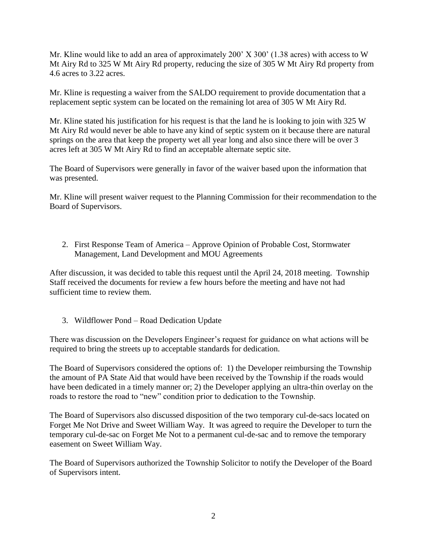Mr. Kline would like to add an area of approximately 200' X 300' (1.38 acres) with access to W Mt Airy Rd to 325 W Mt Airy Rd property, reducing the size of 305 W Mt Airy Rd property from 4.6 acres to 3.22 acres.

Mr. Kline is requesting a waiver from the SALDO requirement to provide documentation that a replacement septic system can be located on the remaining lot area of 305 W Mt Airy Rd.

Mr. Kline stated his justification for his request is that the land he is looking to join with 325 W Mt Airy Rd would never be able to have any kind of septic system on it because there are natural springs on the area that keep the property wet all year long and also since there will be over 3 acres left at 305 W Mt Airy Rd to find an acceptable alternate septic site.

The Board of Supervisors were generally in favor of the waiver based upon the information that was presented.

Mr. Kline will present waiver request to the Planning Commission for their recommendation to the Board of Supervisors.

2. First Response Team of America – Approve Opinion of Probable Cost, Stormwater Management, Land Development and MOU Agreements

After discussion, it was decided to table this request until the April 24, 2018 meeting. Township Staff received the documents for review a few hours before the meeting and have not had sufficient time to review them.

3. Wildflower Pond – Road Dedication Update

There was discussion on the Developers Engineer's request for guidance on what actions will be required to bring the streets up to acceptable standards for dedication.

The Board of Supervisors considered the options of: 1) the Developer reimbursing the Township the amount of PA State Aid that would have been received by the Township if the roads would have been dedicated in a timely manner or; 2) the Developer applying an ultra-thin overlay on the roads to restore the road to "new" condition prior to dedication to the Township.

The Board of Supervisors also discussed disposition of the two temporary cul-de-sacs located on Forget Me Not Drive and Sweet William Way. It was agreed to require the Developer to turn the temporary cul-de-sac on Forget Me Not to a permanent cul-de-sac and to remove the temporary easement on Sweet William Way.

The Board of Supervisors authorized the Township Solicitor to notify the Developer of the Board of Supervisors intent.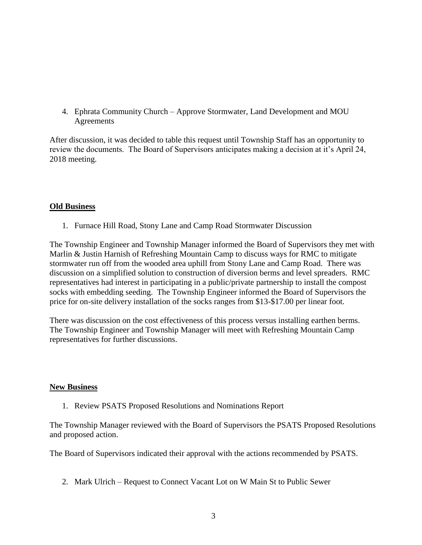4. Ephrata Community Church – Approve Stormwater, Land Development and MOU **Agreements** 

After discussion, it was decided to table this request until Township Staff has an opportunity to review the documents. The Board of Supervisors anticipates making a decision at it's April 24, 2018 meeting.

# **Old Business**

1. Furnace Hill Road, Stony Lane and Camp Road Stormwater Discussion

The Township Engineer and Township Manager informed the Board of Supervisors they met with Marlin & Justin Harnish of Refreshing Mountain Camp to discuss ways for RMC to mitigate stormwater run off from the wooded area uphill from Stony Lane and Camp Road. There was discussion on a simplified solution to construction of diversion berms and level spreaders. RMC representatives had interest in participating in a public/private partnership to install the compost socks with embedding seeding. The Township Engineer informed the Board of Supervisors the price for on-site delivery installation of the socks ranges from \$13-\$17.00 per linear foot.

There was discussion on the cost effectiveness of this process versus installing earthen berms. The Township Engineer and Township Manager will meet with Refreshing Mountain Camp representatives for further discussions.

### **New Business**

1. Review PSATS Proposed Resolutions and Nominations Report

The Township Manager reviewed with the Board of Supervisors the PSATS Proposed Resolutions and proposed action.

The Board of Supervisors indicated their approval with the actions recommended by PSATS.

2. Mark Ulrich – Request to Connect Vacant Lot on W Main St to Public Sewer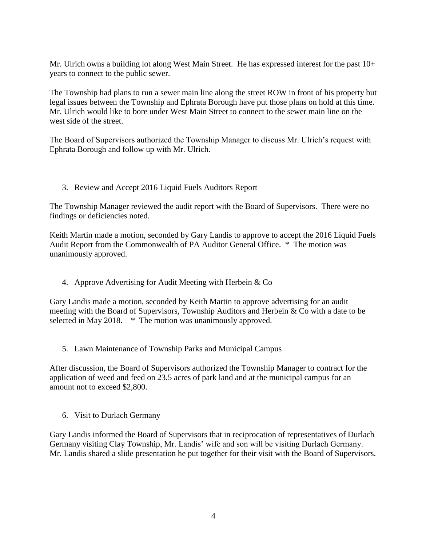Mr. Ulrich owns a building lot along West Main Street. He has expressed interest for the past  $10+$ years to connect to the public sewer.

The Township had plans to run a sewer main line along the street ROW in front of his property but legal issues between the Township and Ephrata Borough have put those plans on hold at this time. Mr. Ulrich would like to bore under West Main Street to connect to the sewer main line on the west side of the street.

The Board of Supervisors authorized the Township Manager to discuss Mr. Ulrich's request with Ephrata Borough and follow up with Mr. Ulrich.

3. Review and Accept 2016 Liquid Fuels Auditors Report

The Township Manager reviewed the audit report with the Board of Supervisors. There were no findings or deficiencies noted.

Keith Martin made a motion, seconded by Gary Landis to approve to accept the 2016 Liquid Fuels Audit Report from the Commonwealth of PA Auditor General Office. \* The motion was unanimously approved.

4. Approve Advertising for Audit Meeting with Herbein & Co

Gary Landis made a motion, seconded by Keith Martin to approve advertising for an audit meeting with the Board of Supervisors, Township Auditors and Herbein & Co with a date to be selected in May 2018. \* The motion was unanimously approved.

5. Lawn Maintenance of Township Parks and Municipal Campus

After discussion, the Board of Supervisors authorized the Township Manager to contract for the application of weed and feed on 23.5 acres of park land and at the municipal campus for an amount not to exceed \$2,800.

6. Visit to Durlach Germany

Gary Landis informed the Board of Supervisors that in reciprocation of representatives of Durlach Germany visiting Clay Township, Mr. Landis' wife and son will be visiting Durlach Germany. Mr. Landis shared a slide presentation he put together for their visit with the Board of Supervisors.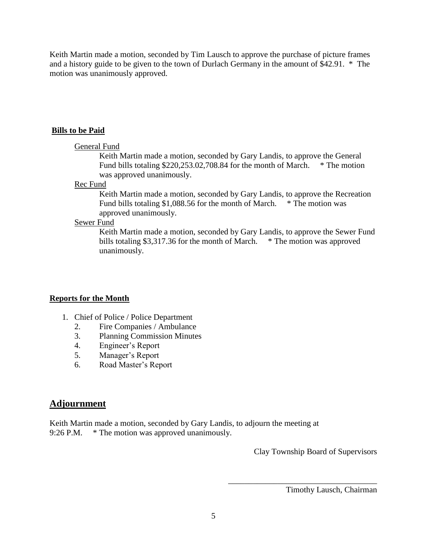Keith Martin made a motion, seconded by Tim Lausch to approve the purchase of picture frames and a history guide to be given to the town of Durlach Germany in the amount of \$42.91. \* The motion was unanimously approved.

#### **Bills to be Paid**

#### General Fund

Keith Martin made a motion, seconded by Gary Landis, to approve the General Fund bills totaling \$220,253.02,708.84 for the month of March. \* The motion was approved unanimously.

### Rec Fund

Keith Martin made a motion, seconded by Gary Landis, to approve the Recreation Fund bills totaling \$1,088.56 for the month of March. \* The motion was approved unanimously.

### Sewer Fund

Keith Martin made a motion, seconded by Gary Landis, to approve the Sewer Fund bills totaling \$3,317.36 for the month of March. \* The motion was approved unanimously.

### **Reports for the Month**

- 1. Chief of Police / Police Department
	- 2. Fire Companies / Ambulance
	- 3. Planning Commission Minutes
	- 4. Engineer's Report
	- 5. Manager's Report
	- 6. Road Master's Report

# **Adjournment**

Keith Martin made a motion, seconded by Gary Landis, to adjourn the meeting at 9:26 P.M. \* The motion was approved unanimously.

Clay Township Board of Supervisors

\_\_\_\_\_\_\_\_\_\_\_\_\_\_\_\_\_\_\_\_\_\_\_\_\_\_\_\_\_\_\_\_\_\_\_\_

Timothy Lausch, Chairman